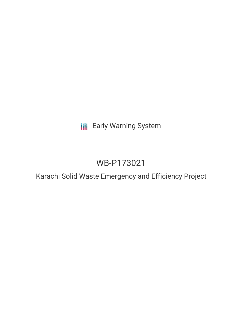**III** Early Warning System

# WB-P173021

Karachi Solid Waste Emergency and Efficiency Project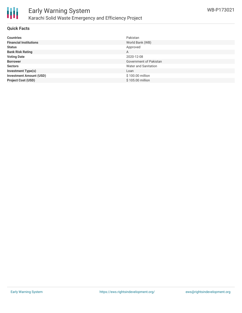

#### **Quick Facts**

| <b>Countries</b>               | Pakistan               |
|--------------------------------|------------------------|
| <b>Financial Institutions</b>  | World Bank (WB)        |
| <b>Status</b>                  | Approved               |
| <b>Bank Risk Rating</b>        | A                      |
| <b>Voting Date</b>             | 2020-12-08             |
| <b>Borrower</b>                | Government of Pakistan |
| <b>Sectors</b>                 | Water and Sanitation   |
| <b>Investment Type(s)</b>      | Loan                   |
| <b>Investment Amount (USD)</b> | \$100.00 million       |
| <b>Project Cost (USD)</b>      | \$105.00 million       |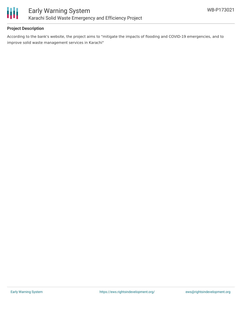

# **Project Description**

According to the bank's website, the project aims to "mitigate the impacts of flooding and COVID-19 emergencies, and to improve solid waste management services in Karachi"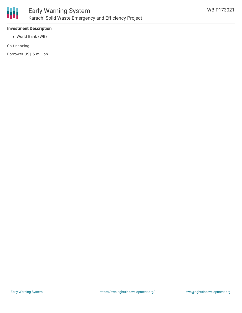

## **Investment Description**

World Bank (WB)

Co-financing:

Borrower US\$ 5 million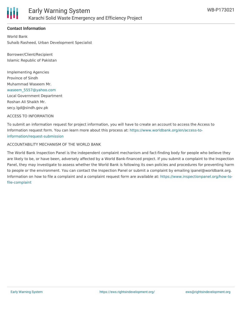

## **Contact Information**

World Bank Suhaib Rasheed, Urban Development Specialist

Borrower/Client/Recipient Islamic Republic of Pakistan

Implementing Agencies Province of Sindh Muhammad Waseem Mr. [waseem\\_5557@yahoo.com](mailto:waseem_5557@yahoo.com) Local Government Department Roshan Ali Shaikh Mr. secy.lgd@sindh.gov.pk

#### ACCESS TO INFORMATION

To submit an information request for project information, you will have to create an account to access the Access to Information request form. You can learn more about this process at: [https://www.worldbank.org/en/access-to](https://www.worldbank.org/en/access-to-information/request-submission)information/request-submission

#### ACCOUNTABILITY MECHANISM OF THE WORLD BANK

The World Bank Inspection Panel is the independent complaint mechanism and fact-finding body for people who believe they are likely to be, or have been, adversely affected by a World Bank-financed project. If you submit a complaint to the Inspection Panel, they may investigate to assess whether the World Bank is following its own policies and procedures for preventing harm to people or the environment. You can contact the Inspection Panel or submit a complaint by emailing ipanel@worldbank.org. Information on how to file a complaint and a complaint request form are available at: [https://www.inspectionpanel.org/how-to](https://www.inspectionpanel.org/how-to-file-complaint)file-complaint